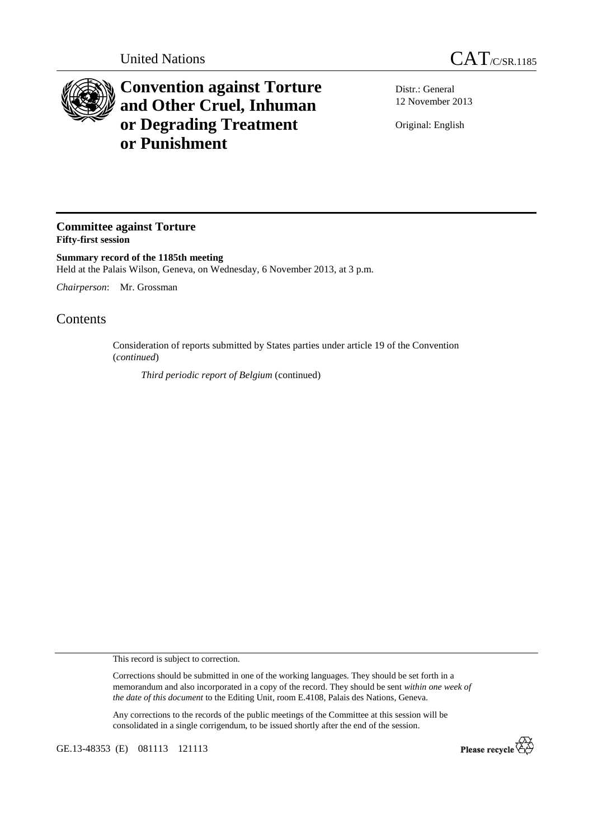

## **Convention against Torture and Other Cruel, Inhuman or Degrading Treatment or Punishment**

Distr.: General 12 November 2013

Original: English

## **Committee against Torture Fifty-first session**

**Summary record of the 1185th meeting**  Held at the Palais Wilson, Geneva, on Wednesday, 6 November 2013, at 3 p.m.

*Chairperson*: Mr. Grossman

## **Contents**

Consideration of reports submitted by States parties under article 19 of the Convention (*continued*)

*Third periodic report of Belgium* (continued)

This record is subject to correction.

Corrections should be submitted in one of the working languages. They should be set forth in a memorandum and also incorporated in a copy of the record. They should be sent *within one week of the date of this document* to the Editing Unit, room E.4108, Palais des Nations, Geneva.

Any corrections to the records of the public meetings of the Committee at this session will be consolidated in a single corrigendum, to be issued shortly after the end of the session.

GE.13-48353 (E) 081113 121113

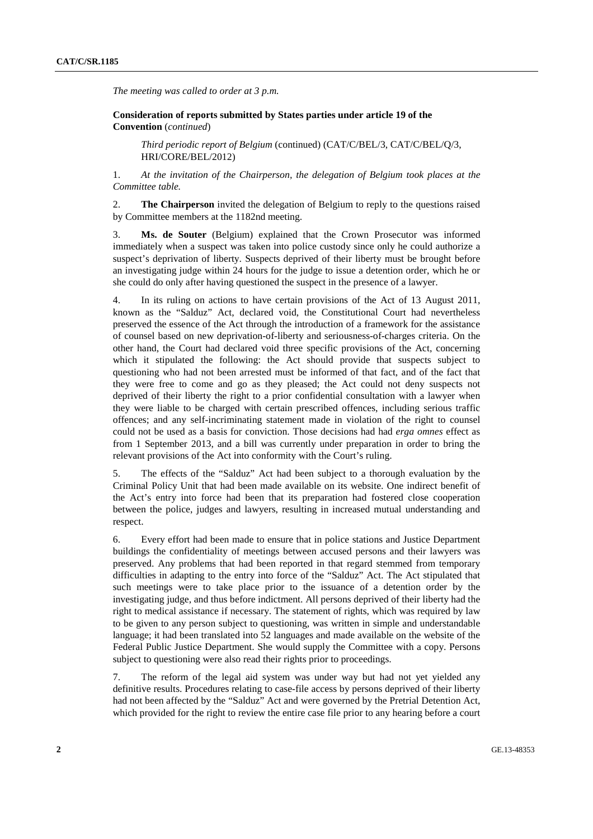*The meeting was called to order at 3 p.m.* 

 **Consideration of reports submitted by States parties under article 19 of the Convention** (*continued*)

*Third periodic report of Belgium* (continued) (CAT/C/BEL/3, CAT/C/BEL/Q/3, HRI/CORE/BEL/2012)

1. *At the invitation of the Chairperson, the delegation of Belgium took places at the Committee table.* 

2. **The Chairperson** invited the delegation of Belgium to reply to the questions raised by Committee members at the 1182nd meeting.

3. **Ms. de Souter** (Belgium) explained that the Crown Prosecutor was informed immediately when a suspect was taken into police custody since only he could authorize a suspect's deprivation of liberty. Suspects deprived of their liberty must be brought before an investigating judge within 24 hours for the judge to issue a detention order, which he or she could do only after having questioned the suspect in the presence of a lawyer.

4. In its ruling on actions to have certain provisions of the Act of 13 August 2011, known as the "Salduz" Act, declared void, the Constitutional Court had nevertheless preserved the essence of the Act through the introduction of a framework for the assistance of counsel based on new deprivation-of-liberty and seriousness-of-charges criteria. On the other hand, the Court had declared void three specific provisions of the Act, concerning which it stipulated the following: the Act should provide that suspects subject to questioning who had not been arrested must be informed of that fact, and of the fact that they were free to come and go as they pleased; the Act could not deny suspects not deprived of their liberty the right to a prior confidential consultation with a lawyer when they were liable to be charged with certain prescribed offences, including serious traffic offences; and any self-incriminating statement made in violation of the right to counsel could not be used as a basis for conviction. Those decisions had had *erga omnes* effect as from 1 September 2013, and a bill was currently under preparation in order to bring the relevant provisions of the Act into conformity with the Court's ruling.

5. The effects of the "Salduz" Act had been subject to a thorough evaluation by the Criminal Policy Unit that had been made available on its website. One indirect benefit of the Act's entry into force had been that its preparation had fostered close cooperation between the police, judges and lawyers, resulting in increased mutual understanding and respect.

6. Every effort had been made to ensure that in police stations and Justice Department buildings the confidentiality of meetings between accused persons and their lawyers was preserved. Any problems that had been reported in that regard stemmed from temporary difficulties in adapting to the entry into force of the "Salduz" Act. The Act stipulated that such meetings were to take place prior to the issuance of a detention order by the investigating judge, and thus before indictment. All persons deprived of their liberty had the right to medical assistance if necessary. The statement of rights, which was required by law to be given to any person subject to questioning, was written in simple and understandable language; it had been translated into 52 languages and made available on the website of the Federal Public Justice Department. She would supply the Committee with a copy. Persons subject to questioning were also read their rights prior to proceedings.

7. The reform of the legal aid system was under way but had not yet yielded any definitive results. Procedures relating to case-file access by persons deprived of their liberty had not been affected by the "Salduz" Act and were governed by the Pretrial Detention Act, which provided for the right to review the entire case file prior to any hearing before a court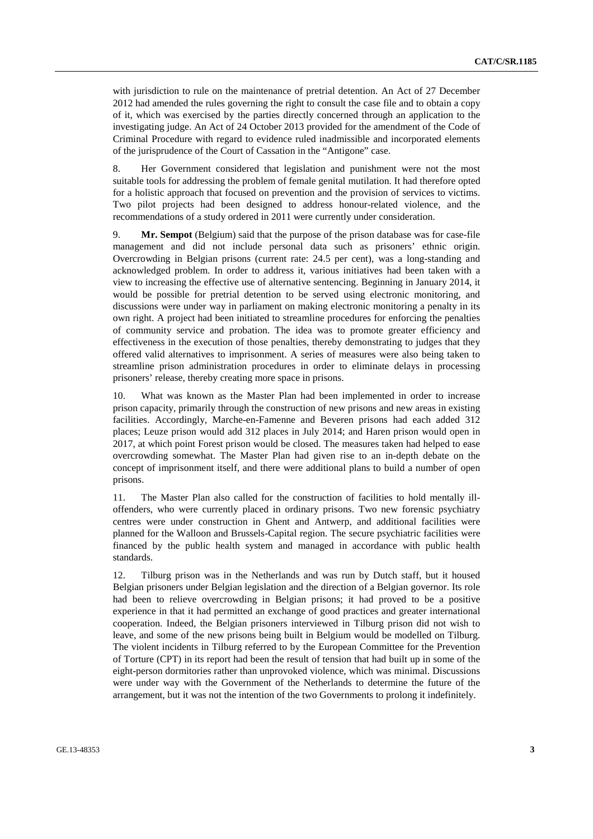with jurisdiction to rule on the maintenance of pretrial detention. An Act of 27 December 2012 had amended the rules governing the right to consult the case file and to obtain a copy of it, which was exercised by the parties directly concerned through an application to the investigating judge. An Act of 24 October 2013 provided for the amendment of the Code of Criminal Procedure with regard to evidence ruled inadmissible and incorporated elements of the jurisprudence of the Court of Cassation in the "Antigone" case.

8. Her Government considered that legislation and punishment were not the most suitable tools for addressing the problem of female genital mutilation. It had therefore opted for a holistic approach that focused on prevention and the provision of services to victims. Two pilot projects had been designed to address honour-related violence, and the recommendations of a study ordered in 2011 were currently under consideration.

9. **Mr. Sempot** (Belgium) said that the purpose of the prison database was for case-file management and did not include personal data such as prisoners' ethnic origin. Overcrowding in Belgian prisons (current rate: 24.5 per cent), was a long-standing and acknowledged problem. In order to address it, various initiatives had been taken with a view to increasing the effective use of alternative sentencing. Beginning in January 2014, it would be possible for pretrial detention to be served using electronic monitoring, and discussions were under way in parliament on making electronic monitoring a penalty in its own right. A project had been initiated to streamline procedures for enforcing the penalties of community service and probation. The idea was to promote greater efficiency and effectiveness in the execution of those penalties, thereby demonstrating to judges that they offered valid alternatives to imprisonment. A series of measures were also being taken to streamline prison administration procedures in order to eliminate delays in processing prisoners' release, thereby creating more space in prisons.

10. What was known as the Master Plan had been implemented in order to increase prison capacity, primarily through the construction of new prisons and new areas in existing facilities. Accordingly, Marche-en-Famenne and Beveren prisons had each added 312 places; Leuze prison would add 312 places in July 2014; and Haren prison would open in 2017, at which point Forest prison would be closed. The measures taken had helped to ease overcrowding somewhat. The Master Plan had given rise to an in-depth debate on the concept of imprisonment itself, and there were additional plans to build a number of open prisons.

11. The Master Plan also called for the construction of facilities to hold mentally illoffenders, who were currently placed in ordinary prisons. Two new forensic psychiatry centres were under construction in Ghent and Antwerp, and additional facilities were planned for the Walloon and Brussels-Capital region. The secure psychiatric facilities were financed by the public health system and managed in accordance with public health standards.

12. Tilburg prison was in the Netherlands and was run by Dutch staff, but it housed Belgian prisoners under Belgian legislation and the direction of a Belgian governor. Its role had been to relieve overcrowding in Belgian prisons; it had proved to be a positive experience in that it had permitted an exchange of good practices and greater international cooperation. Indeed, the Belgian prisoners interviewed in Tilburg prison did not wish to leave, and some of the new prisons being built in Belgium would be modelled on Tilburg. The violent incidents in Tilburg referred to by the European Committee for the Prevention of Torture (CPT) in its report had been the result of tension that had built up in some of the eight-person dormitories rather than unprovoked violence, which was minimal. Discussions were under way with the Government of the Netherlands to determine the future of the arrangement, but it was not the intention of the two Governments to prolong it indefinitely.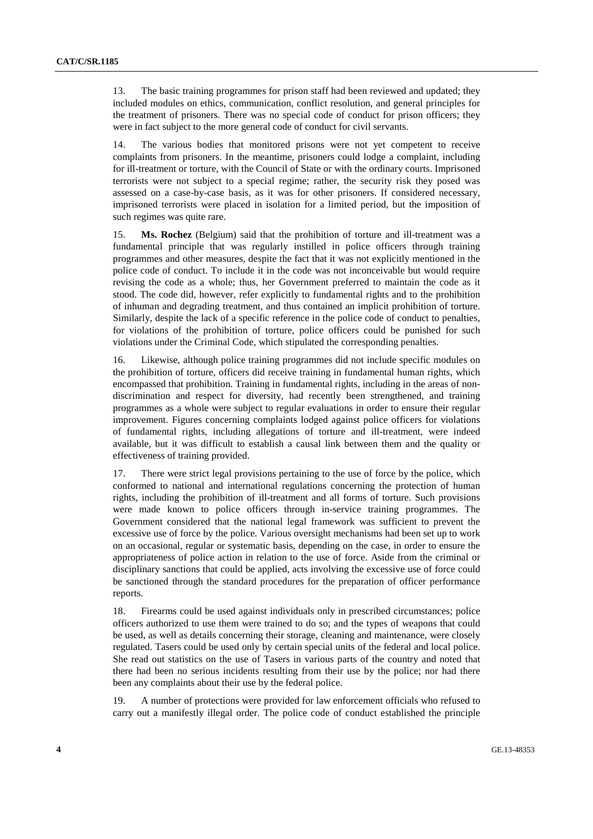13. The basic training programmes for prison staff had been reviewed and updated; they included modules on ethics, communication, conflict resolution, and general principles for the treatment of prisoners. There was no special code of conduct for prison officers; they were in fact subject to the more general code of conduct for civil servants.

14. The various bodies that monitored prisons were not yet competent to receive complaints from prisoners. In the meantime, prisoners could lodge a complaint, including for ill-treatment or torture, with the Council of State or with the ordinary courts. Imprisoned terrorists were not subject to a special regime; rather, the security risk they posed was assessed on a case-by-case basis, as it was for other prisoners. If considered necessary, imprisoned terrorists were placed in isolation for a limited period, but the imposition of such regimes was quite rare.

15. **Ms. Rochez** (Belgium) said that the prohibition of torture and ill-treatment was a fundamental principle that was regularly instilled in police officers through training programmes and other measures, despite the fact that it was not explicitly mentioned in the police code of conduct. To include it in the code was not inconceivable but would require revising the code as a whole; thus, her Government preferred to maintain the code as it stood. The code did, however, refer explicitly to fundamental rights and to the prohibition of inhuman and degrading treatment, and thus contained an implicit prohibition of torture. Similarly, despite the lack of a specific reference in the police code of conduct to penalties, for violations of the prohibition of torture, police officers could be punished for such violations under the Criminal Code, which stipulated the corresponding penalties.

16. Likewise, although police training programmes did not include specific modules on the prohibition of torture, officers did receive training in fundamental human rights, which encompassed that prohibition. Training in fundamental rights, including in the areas of nondiscrimination and respect for diversity, had recently been strengthened, and training programmes as a whole were subject to regular evaluations in order to ensure their regular improvement. Figures concerning complaints lodged against police officers for violations of fundamental rights, including allegations of torture and ill-treatment, were indeed available, but it was difficult to establish a causal link between them and the quality or effectiveness of training provided.

17. There were strict legal provisions pertaining to the use of force by the police, which conformed to national and international regulations concerning the protection of human rights, including the prohibition of ill-treatment and all forms of torture. Such provisions were made known to police officers through in-service training programmes. The Government considered that the national legal framework was sufficient to prevent the excessive use of force by the police. Various oversight mechanisms had been set up to work on an occasional, regular or systematic basis, depending on the case, in order to ensure the appropriateness of police action in relation to the use of force. Aside from the criminal or disciplinary sanctions that could be applied, acts involving the excessive use of force could be sanctioned through the standard procedures for the preparation of officer performance reports.

18. Firearms could be used against individuals only in prescribed circumstances; police officers authorized to use them were trained to do so; and the types of weapons that could be used, as well as details concerning their storage, cleaning and maintenance, were closely regulated. Tasers could be used only by certain special units of the federal and local police. She read out statistics on the use of Tasers in various parts of the country and noted that there had been no serious incidents resulting from their use by the police; nor had there been any complaints about their use by the federal police.

19. A number of protections were provided for law enforcement officials who refused to carry out a manifestly illegal order. The police code of conduct established the principle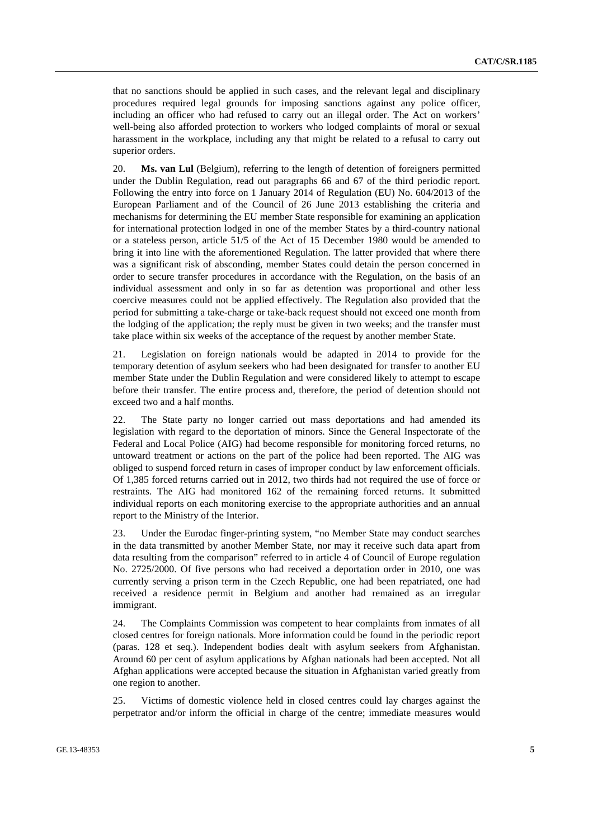that no sanctions should be applied in such cases, and the relevant legal and disciplinary procedures required legal grounds for imposing sanctions against any police officer, including an officer who had refused to carry out an illegal order. The Act on workers' well-being also afforded protection to workers who lodged complaints of moral or sexual harassment in the workplace, including any that might be related to a refusal to carry out superior orders.

20. **Ms. van Lul** (Belgium), referring to the length of detention of foreigners permitted under the Dublin Regulation, read out paragraphs 66 and 67 of the third periodic report. Following the entry into force on 1 January 2014 of Regulation (EU) No. 604/2013 of the European Parliament and of the Council of 26 June 2013 establishing the criteria and mechanisms for determining the EU member State responsible for examining an application for international protection lodged in one of the member States by a third-country national or a stateless person, article 51/5 of the Act of 15 December 1980 would be amended to bring it into line with the aforementioned Regulation. The latter provided that where there was a significant risk of absconding, member States could detain the person concerned in order to secure transfer procedures in accordance with the Regulation, on the basis of an individual assessment and only in so far as detention was proportional and other less coercive measures could not be applied effectively. The Regulation also provided that the period for submitting a take-charge or take-back request should not exceed one month from the lodging of the application; the reply must be given in two weeks; and the transfer must take place within six weeks of the acceptance of the request by another member State.

21. Legislation on foreign nationals would be adapted in 2014 to provide for the temporary detention of asylum seekers who had been designated for transfer to another EU member State under the Dublin Regulation and were considered likely to attempt to escape before their transfer. The entire process and, therefore, the period of detention should not exceed two and a half months.

22. The State party no longer carried out mass deportations and had amended its legislation with regard to the deportation of minors. Since the General Inspectorate of the Federal and Local Police (AIG) had become responsible for monitoring forced returns, no untoward treatment or actions on the part of the police had been reported. The AIG was obliged to suspend forced return in cases of improper conduct by law enforcement officials. Of 1,385 forced returns carried out in 2012, two thirds had not required the use of force or restraints. The AIG had monitored 162 of the remaining forced returns. It submitted individual reports on each monitoring exercise to the appropriate authorities and an annual report to the Ministry of the Interior.

23. Under the Eurodac finger-printing system, "no Member State may conduct searches in the data transmitted by another Member State, nor may it receive such data apart from data resulting from the comparison" referred to in article 4 of Council of Europe regulation No. 2725/2000. Of five persons who had received a deportation order in 2010, one was currently serving a prison term in the Czech Republic, one had been repatriated, one had received a residence permit in Belgium and another had remained as an irregular immigrant.

24. The Complaints Commission was competent to hear complaints from inmates of all closed centres for foreign nationals. More information could be found in the periodic report (paras. 128 et seq.). Independent bodies dealt with asylum seekers from Afghanistan. Around 60 per cent of asylum applications by Afghan nationals had been accepted. Not all Afghan applications were accepted because the situation in Afghanistan varied greatly from one region to another.

25. Victims of domestic violence held in closed centres could lay charges against the perpetrator and/or inform the official in charge of the centre; immediate measures would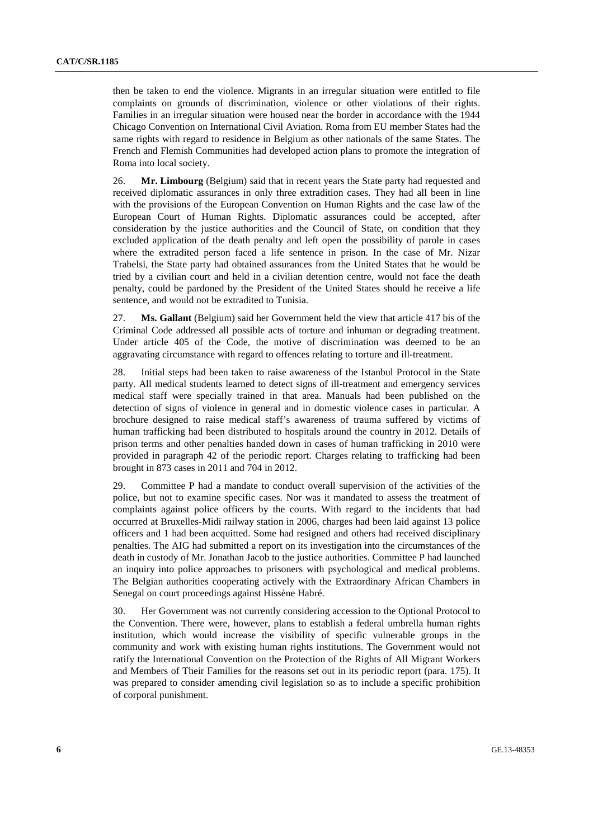then be taken to end the violence. Migrants in an irregular situation were entitled to file complaints on grounds of discrimination, violence or other violations of their rights. Families in an irregular situation were housed near the border in accordance with the 1944 Chicago Convention on International Civil Aviation. Roma from EU member States had the same rights with regard to residence in Belgium as other nationals of the same States. The French and Flemish Communities had developed action plans to promote the integration of Roma into local society.

26. **Mr. Limbourg** (Belgium) said that in recent years the State party had requested and received diplomatic assurances in only three extradition cases. They had all been in line with the provisions of the European Convention on Human Rights and the case law of the European Court of Human Rights. Diplomatic assurances could be accepted, after consideration by the justice authorities and the Council of State, on condition that they excluded application of the death penalty and left open the possibility of parole in cases where the extradited person faced a life sentence in prison. In the case of Mr. Nizar Trabelsi, the State party had obtained assurances from the United States that he would be tried by a civilian court and held in a civilian detention centre, would not face the death penalty, could be pardoned by the President of the United States should he receive a life sentence, and would not be extradited to Tunisia.

27. **Ms. Gallant** (Belgium) said her Government held the view that article 417 bis of the Criminal Code addressed all possible acts of torture and inhuman or degrading treatment. Under article 405 of the Code, the motive of discrimination was deemed to be an aggravating circumstance with regard to offences relating to torture and ill-treatment.

28. Initial steps had been taken to raise awareness of the Istanbul Protocol in the State party. All medical students learned to detect signs of ill-treatment and emergency services medical staff were specially trained in that area. Manuals had been published on the detection of signs of violence in general and in domestic violence cases in particular. A brochure designed to raise medical staff's awareness of trauma suffered by victims of human trafficking had been distributed to hospitals around the country in 2012. Details of prison terms and other penalties handed down in cases of human trafficking in 2010 were provided in paragraph 42 of the periodic report. Charges relating to trafficking had been brought in 873 cases in 2011 and 704 in 2012.

29. Committee P had a mandate to conduct overall supervision of the activities of the police, but not to examine specific cases. Nor was it mandated to assess the treatment of complaints against police officers by the courts. With regard to the incidents that had occurred at Bruxelles-Midi railway station in 2006, charges had been laid against 13 police officers and 1 had been acquitted. Some had resigned and others had received disciplinary penalties. The AIG had submitted a report on its investigation into the circumstances of the death in custody of Mr. Jonathan Jacob to the justice authorities. Committee P had launched an inquiry into police approaches to prisoners with psychological and medical problems. The Belgian authorities cooperating actively with the Extraordinary African Chambers in Senegal on court proceedings against Hissène Habré.

30. Her Government was not currently considering accession to the Optional Protocol to the Convention. There were, however, plans to establish a federal umbrella human rights institution, which would increase the visibility of specific vulnerable groups in the community and work with existing human rights institutions. The Government would not ratify the International Convention on the Protection of the Rights of All Migrant Workers and Members of Their Families for the reasons set out in its periodic report (para. 175). It was prepared to consider amending civil legislation so as to include a specific prohibition of corporal punishment.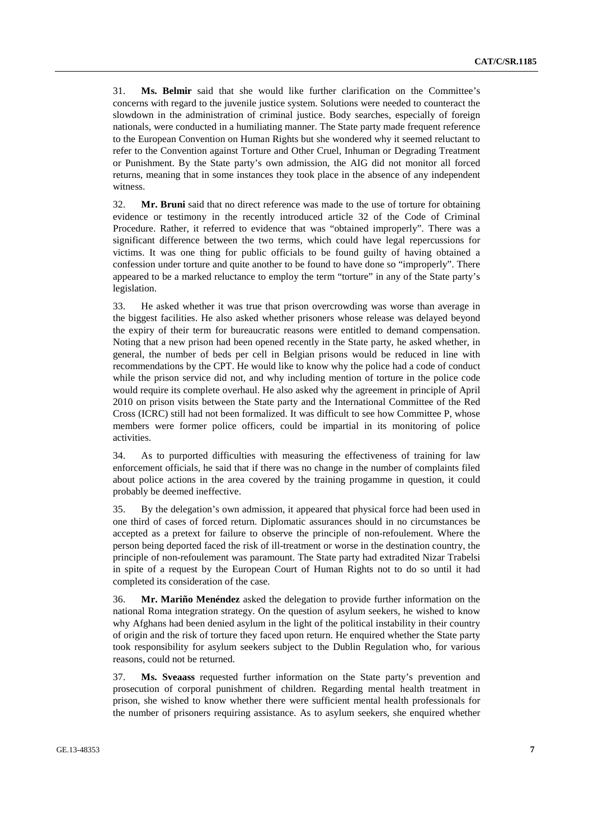31. **Ms. Belmir** said that she would like further clarification on the Committee's concerns with regard to the juvenile justice system. Solutions were needed to counteract the slowdown in the administration of criminal justice. Body searches, especially of foreign nationals, were conducted in a humiliating manner. The State party made frequent reference to the European Convention on Human Rights but she wondered why it seemed reluctant to refer to the Convention against Torture and Other Cruel, Inhuman or Degrading Treatment or Punishment. By the State party's own admission, the AIG did not monitor all forced returns, meaning that in some instances they took place in the absence of any independent witness.

32. **Mr. Bruni** said that no direct reference was made to the use of torture for obtaining evidence or testimony in the recently introduced article 32 of the Code of Criminal Procedure. Rather, it referred to evidence that was "obtained improperly". There was a significant difference between the two terms, which could have legal repercussions for victims. It was one thing for public officials to be found guilty of having obtained a confession under torture and quite another to be found to have done so "improperly". There appeared to be a marked reluctance to employ the term "torture" in any of the State party's legislation.

33. He asked whether it was true that prison overcrowding was worse than average in the biggest facilities. He also asked whether prisoners whose release was delayed beyond the expiry of their term for bureaucratic reasons were entitled to demand compensation. Noting that a new prison had been opened recently in the State party, he asked whether, in general, the number of beds per cell in Belgian prisons would be reduced in line with recommendations by the CPT. He would like to know why the police had a code of conduct while the prison service did not, and why including mention of torture in the police code would require its complete overhaul. He also asked why the agreement in principle of April 2010 on prison visits between the State party and the International Committee of the Red Cross (ICRC) still had not been formalized. It was difficult to see how Committee P, whose members were former police officers, could be impartial in its monitoring of police activities.

34. As to purported difficulties with measuring the effectiveness of training for law enforcement officials, he said that if there was no change in the number of complaints filed about police actions in the area covered by the training progamme in question, it could probably be deemed ineffective.

35. By the delegation's own admission, it appeared that physical force had been used in one third of cases of forced return. Diplomatic assurances should in no circumstances be accepted as a pretext for failure to observe the principle of non-refoulement. Where the person being deported faced the risk of ill-treatment or worse in the destination country, the principle of non-refoulement was paramount. The State party had extradited Nizar Trabelsi in spite of a request by the European Court of Human Rights not to do so until it had completed its consideration of the case.

36. **Mr. Mariño Menéndez** asked the delegation to provide further information on the national Roma integration strategy. On the question of asylum seekers, he wished to know why Afghans had been denied asylum in the light of the political instability in their country of origin and the risk of torture they faced upon return. He enquired whether the State party took responsibility for asylum seekers subject to the Dublin Regulation who, for various reasons, could not be returned.

37. **Ms. Sveaass** requested further information on the State party's prevention and prosecution of corporal punishment of children. Regarding mental health treatment in prison, she wished to know whether there were sufficient mental health professionals for the number of prisoners requiring assistance. As to asylum seekers, she enquired whether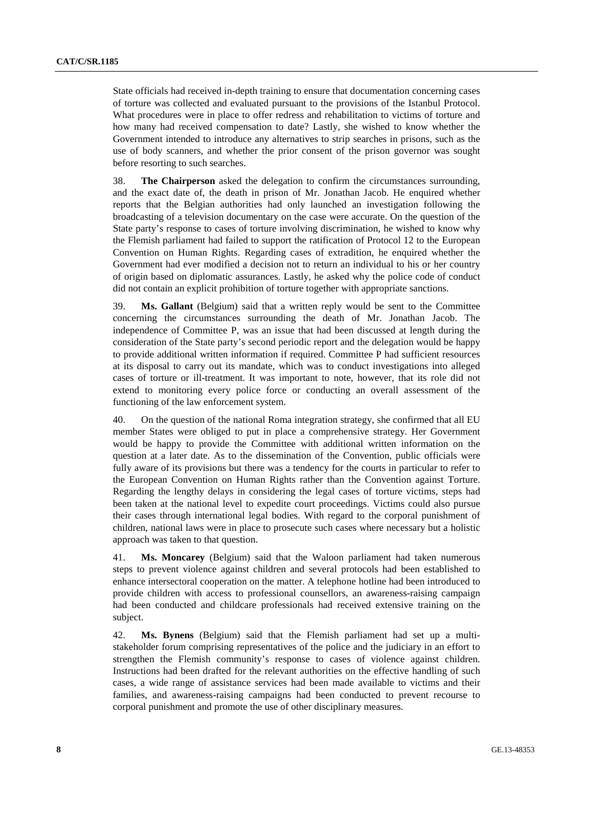State officials had received in-depth training to ensure that documentation concerning cases of torture was collected and evaluated pursuant to the provisions of the Istanbul Protocol. What procedures were in place to offer redress and rehabilitation to victims of torture and how many had received compensation to date? Lastly, she wished to know whether the Government intended to introduce any alternatives to strip searches in prisons, such as the use of body scanners, and whether the prior consent of the prison governor was sought before resorting to such searches.

38. **The Chairperson** asked the delegation to confirm the circumstances surrounding, and the exact date of, the death in prison of Mr. Jonathan Jacob. He enquired whether reports that the Belgian authorities had only launched an investigation following the broadcasting of a television documentary on the case were accurate. On the question of the State party's response to cases of torture involving discrimination, he wished to know why the Flemish parliament had failed to support the ratification of Protocol 12 to the European Convention on Human Rights. Regarding cases of extradition, he enquired whether the Government had ever modified a decision not to return an individual to his or her country of origin based on diplomatic assurances. Lastly, he asked why the police code of conduct did not contain an explicit prohibition of torture together with appropriate sanctions.

39. **Ms. Gallant** (Belgium) said that a written reply would be sent to the Committee concerning the circumstances surrounding the death of Mr. Jonathan Jacob. The independence of Committee P, was an issue that had been discussed at length during the consideration of the State party's second periodic report and the delegation would be happy to provide additional written information if required. Committee P had sufficient resources at its disposal to carry out its mandate, which was to conduct investigations into alleged cases of torture or ill-treatment. It was important to note, however, that its role did not extend to monitoring every police force or conducting an overall assessment of the functioning of the law enforcement system.

40. On the question of the national Roma integration strategy, she confirmed that all EU member States were obliged to put in place a comprehensive strategy. Her Government would be happy to provide the Committee with additional written information on the question at a later date. As to the dissemination of the Convention, public officials were fully aware of its provisions but there was a tendency for the courts in particular to refer to the European Convention on Human Rights rather than the Convention against Torture. Regarding the lengthy delays in considering the legal cases of torture victims, steps had been taken at the national level to expedite court proceedings. Victims could also pursue their cases through international legal bodies. With regard to the corporal punishment of children, national laws were in place to prosecute such cases where necessary but a holistic approach was taken to that question.

41. **Ms. Moncarey** (Belgium) said that the Waloon parliament had taken numerous steps to prevent violence against children and several protocols had been established to enhance intersectoral cooperation on the matter. A telephone hotline had been introduced to provide children with access to professional counsellors, an awareness-raising campaign had been conducted and childcare professionals had received extensive training on the subject.

42. **Ms. Bynens** (Belgium) said that the Flemish parliament had set up a multistakeholder forum comprising representatives of the police and the judiciary in an effort to strengthen the Flemish community's response to cases of violence against children. Instructions had been drafted for the relevant authorities on the effective handling of such cases, a wide range of assistance services had been made available to victims and their families, and awareness-raising campaigns had been conducted to prevent recourse to corporal punishment and promote the use of other disciplinary measures.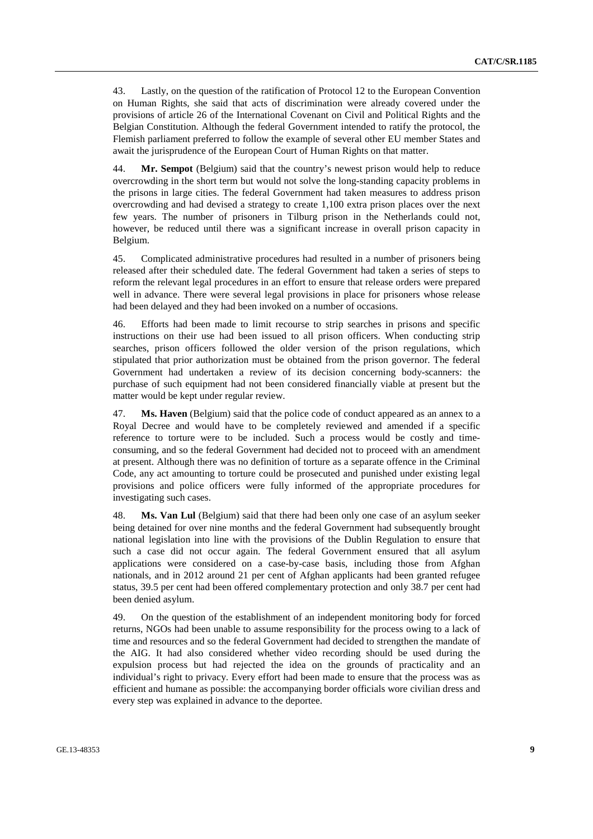43. Lastly, on the question of the ratification of Protocol 12 to the European Convention on Human Rights, she said that acts of discrimination were already covered under the provisions of article 26 of the International Covenant on Civil and Political Rights and the Belgian Constitution. Although the federal Government intended to ratify the protocol, the Flemish parliament preferred to follow the example of several other EU member States and await the jurisprudence of the European Court of Human Rights on that matter.

44. **Mr. Sempot** (Belgium) said that the country's newest prison would help to reduce overcrowding in the short term but would not solve the long-standing capacity problems in the prisons in large cities. The federal Government had taken measures to address prison overcrowding and had devised a strategy to create 1,100 extra prison places over the next few years. The number of prisoners in Tilburg prison in the Netherlands could not, however, be reduced until there was a significant increase in overall prison capacity in Belgium.

45. Complicated administrative procedures had resulted in a number of prisoners being released after their scheduled date. The federal Government had taken a series of steps to reform the relevant legal procedures in an effort to ensure that release orders were prepared well in advance. There were several legal provisions in place for prisoners whose release had been delayed and they had been invoked on a number of occasions.

46. Efforts had been made to limit recourse to strip searches in prisons and specific instructions on their use had been issued to all prison officers. When conducting strip searches, prison officers followed the older version of the prison regulations, which stipulated that prior authorization must be obtained from the prison governor. The federal Government had undertaken a review of its decision concerning body-scanners: the purchase of such equipment had not been considered financially viable at present but the matter would be kept under regular review.

47. **Ms. Haven** (Belgium) said that the police code of conduct appeared as an annex to a Royal Decree and would have to be completely reviewed and amended if a specific reference to torture were to be included. Such a process would be costly and timeconsuming, and so the federal Government had decided not to proceed with an amendment at present. Although there was no definition of torture as a separate offence in the Criminal Code, any act amounting to torture could be prosecuted and punished under existing legal provisions and police officers were fully informed of the appropriate procedures for investigating such cases.

48. **Ms. Van Lul** (Belgium) said that there had been only one case of an asylum seeker being detained for over nine months and the federal Government had subsequently brought national legislation into line with the provisions of the Dublin Regulation to ensure that such a case did not occur again. The federal Government ensured that all asylum applications were considered on a case-by-case basis, including those from Afghan nationals, and in 2012 around 21 per cent of Afghan applicants had been granted refugee status, 39.5 per cent had been offered complementary protection and only 38.7 per cent had been denied asylum.

49. On the question of the establishment of an independent monitoring body for forced returns, NGOs had been unable to assume responsibility for the process owing to a lack of time and resources and so the federal Government had decided to strengthen the mandate of the AIG. It had also considered whether video recording should be used during the expulsion process but had rejected the idea on the grounds of practicality and an individual's right to privacy. Every effort had been made to ensure that the process was as efficient and humane as possible: the accompanying border officials wore civilian dress and every step was explained in advance to the deportee.